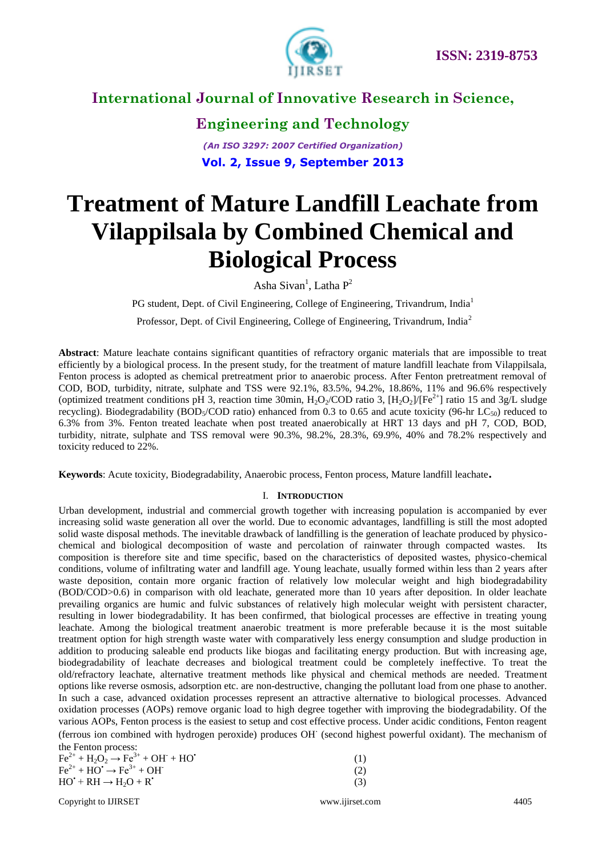

**Engineering and Technology**

*(An ISO 3297: 2007 Certified Organization)* **Vol. 2, Issue 9, September 2013**

# **Treatment of Mature Landfill Leachate from Vilappilsala by Combined Chemical and Biological Process**

Asha Sivan<sup>1</sup>, Latha  $P^2$ 

PG student, Dept. of Civil Engineering, College of Engineering, Trivandrum, India<sup>1</sup> Professor, Dept. of Civil Engineering, College of Engineering, Trivandrum, India<sup>2</sup>

**Abstract**: Mature leachate contains significant quantities of refractory organic materials that are impossible to treat efficiently by a biological process. In the present study, for the treatment of mature landfill leachate from Vilappilsala, Fenton process is adopted as chemical pretreatment prior to anaerobic process. After Fenton pretreatment removal of COD, BOD, turbidity, nitrate, sulphate and TSS were 92.1%, 83.5%, 94.2%, 18.86%, 11% and 96.6% respectively (optimized treatment conditions pH 3, reaction time 30min,  $H_2O_2/COD$  ratio 3,  $[H_2O_2]/[Fe^{2+}]$  ratio 15 and 3g/L sludge recycling). Biodegradability (BOD<sub>5</sub>/COD ratio) enhanced from 0.3 to 0.65 and acute toxicity (96-hr LC<sub>50</sub>) reduced to 6.3% from 3%. Fenton treated leachate when post treated anaerobically at HRT 13 days and pH 7, COD, BOD, turbidity, nitrate, sulphate and TSS removal were 90.3%, 98.2%, 28.3%, 69.9%, 40% and 78.2% respectively and toxicity reduced to 22%.

**Keywords**: Acute toxicity, Biodegradability, Anaerobic process, Fenton process, Mature landfill leachate**.**

#### I. **INTRODUCTION**

Urban development, industrial and commercial growth together with increasing population is accompanied by ever increasing solid waste generation all over the world. Due to economic advantages, landfilling is still the most adopted solid waste disposal methods. The inevitable drawback of landfilling is the generation of leachate produced by physicochemical and biological decomposition of waste and percolation of rainwater through compacted wastes. Its composition is therefore site and time specific, based on the characteristics of deposited wastes, physico-chemical conditions, volume of infiltrating water and landfill age. Young leachate, usually formed within less than 2 years after waste deposition, contain more organic fraction of relatively low molecular weight and high biodegradability (BOD/COD>0.6) in comparison with old leachate, generated more than 10 years after deposition. In older leachate prevailing organics are humic and fulvic substances of relatively high molecular weight with persistent character, resulting in lower biodegradability. It has been confirmed, that biological processes are effective in treating young leachate. Among the biological treatment anaerobic treatment is more preferable because it is the most suitable treatment option for high strength waste water with comparatively less energy consumption and sludge production in addition to producing saleable end products like biogas and facilitating energy production. But with increasing age, biodegradability of leachate decreases and biological treatment could be completely ineffective. To treat the old/refractory leachate, alternative treatment methods like physical and chemical methods are needed. Treatment options like reverse osmosis, adsorption etc. are non-destructive, changing the pollutant load from one phase to another. In such a case, advanced oxidation processes represent an attractive alternative to biological processes. Advanced oxidation processes (AOPs) remove organic load to high degree together with improving the biodegradability. Of the various AOPs, Fenton process is the easiest to setup and cost effective process. Under acidic conditions, Fenton reagent (ferrous ion combined with hydrogen peroxide) produces OH. (second highest powerful oxidant). The mechanism of the Fenton process:

| .<br>$Fe^{2+} + H_2O_2 \rightarrow Fe^{3+} + OH^- + HO'$              |     |
|-----------------------------------------------------------------------|-----|
| $\text{Fe}^{2+} + \text{HO'} \rightarrow \text{Fe}^{3+} + \text{OH'}$ | (2) |
| $HO' + RH \rightarrow H2O + R'$                                       | (3) |

Copyright to IJIRSET [www.ijirset.com](http://www.ijirset.com/) 4405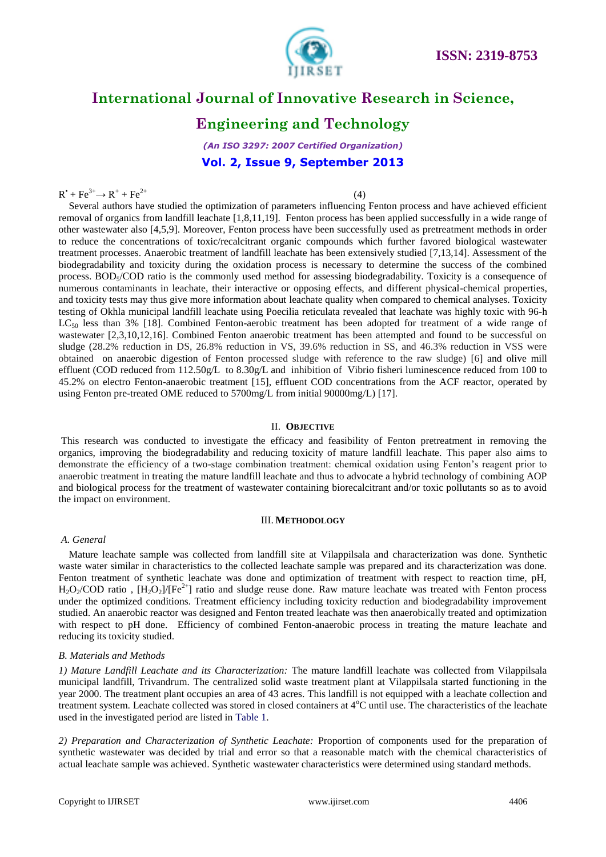

### **Engineering and Technology**

*(An ISO 3297: 2007 Certified Organization)* **Vol. 2, Issue 9, September 2013**

(4)

#### $R^{\bullet} + Fe^{3+} \rightarrow R^+ + Fe^{2+}$

Several authors have studied the optimization of parameters influencing Fenton process and have achieved efficient removal of organics from landfill leachate [1,8,11,19]. Fenton process has been applied successfully in a wide range of other wastewater also [4,5,9]. Moreover, Fenton process have been successfully used as pretreatment methods in order to reduce the concentrations of toxic/recalcitrant organic compounds which further favored biological wastewater treatment processes. Anaerobic treatment of landfill leachate has been extensively studied [7,13,14]. Assessment of the biodegradability and toxicity during the oxidation process is necessary to determine the success of the combined process. BOD<sub>5</sub>/COD ratio is the commonly used method for assessing biodegradability. Toxicity is a consequence of numerous contaminants in leachate, their interactive or opposing effects, and different physical-chemical properties, and toxicity tests may thus give more information about leachate quality when compared to chemical analyses. Toxicity testing of Okhla municipal landfill leachate using Poecilia reticulata revealed that leachate was highly toxic with 96-h  $LC_{50}$  less than 3% [18]. Combined Fenton-aerobic treatment has been adopted for treatment of a wide range of wastewater [2,3,10,12,16]. Combined Fenton anaerobic treatment has been attempted and found to be successful on sludge (28.2% reduction in DS, 26.8% reduction in VS, 39.6% reduction in SS, and 46.3% reduction in VSS were obtained on anaerobic digestion of Fenton processed sludge with reference to the raw sludge) [6] and olive mill effluent (COD reduced from  $112.50g/L$  to  $8.30g/L$  and inhibition of Vibrio fisheri luminescence reduced from 100 to 45.2% on electro Fenton-anaerobic treatment [15], effluent COD concentrations from the ACF reactor, operated by using Fenton pre-treated OME reduced to 5700mg/L from initial 90000mg/L) [17].

#### II. **OBJECTIVE**

This research was conducted to investigate the efficacy and feasibility of Fenton pretreatment in removing the organics, improving the biodegradability and reducing toxicity of mature landfill leachate. This paper also aims to demonstrate the efficiency of a two-stage combination treatment: chemical oxidation using Fenton's reagent prior to anaerobic treatment in treating the mature landfill leachate and thus to advocate a hybrid technology of combining AOP and biological process for the treatment of wastewater containing biorecalcitrant and/or toxic pollutants so as to avoid the impact on environment.

#### III. **METHODOLOGY**

#### *A. General*

Mature leachate sample was collected from landfill site at Vilappilsala and characterization was done. Synthetic waste water similar in characteristics to the collected leachate sample was prepared and its characterization was done. Fenton treatment of synthetic leachate was done and optimization of treatment with respect to reaction time, pH,  $H_2O_2/ COD$  ratio,  $[H_2O_2]/[Fe^{2+}]$  ratio and sludge reuse done. Raw mature leachate was treated with Fenton process under the optimized conditions. Treatment efficiency including toxicity reduction and biodegradability improvement studied. An anaerobic reactor was designed and Fenton treated leachate was then anaerobically treated and optimization with respect to pH done. Efficiency of combined Fenton-anaerobic process in treating the mature leachate and reducing its toxicity studied.

#### *B. Materials and Methods*

*1) Mature Landfill Leachate and its Characterization:* The mature landfill leachate was collected from Vilappilsala municipal landfill, Trivandrum. The centralized solid waste treatment plant at Vilappilsala started functioning in the year 2000. The treatment plant occupies an area of 43 acres. This landfill is not equipped with a leachate collection and treatment system. Leachate collected was stored in closed containers at 4<sup>o</sup>C until use. The characteristics of the leachate used in the investigated period are listed in Table 1.

*2) Preparation and Characterization of Synthetic Leachate:* Proportion of components used for the preparation of synthetic wastewater was decided by trial and error so that a reasonable match with the chemical characteristics of actual leachate sample was achieved. Synthetic wastewater characteristics were determined using standard methods.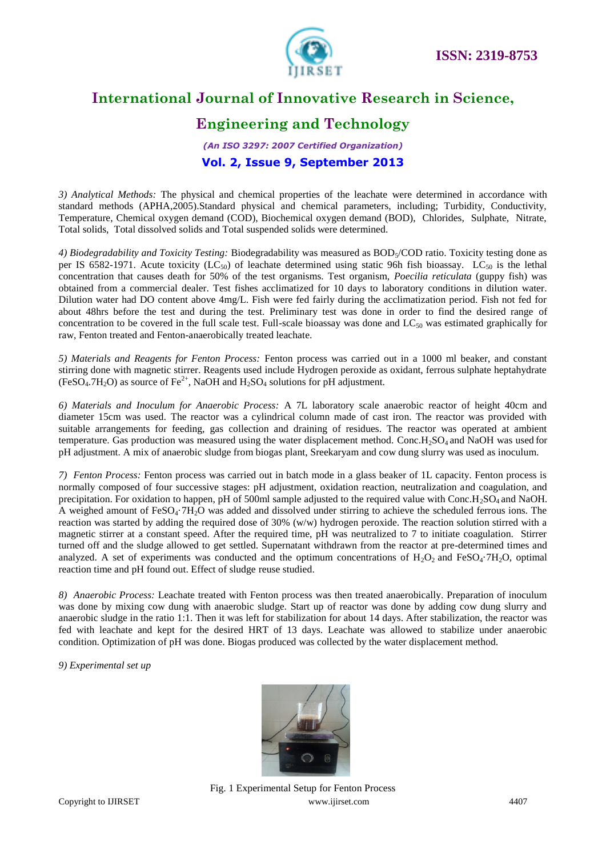

# **Engineering and Technology**

### *(An ISO 3297: 2007 Certified Organization)* **Vol. 2, Issue 9, September 2013**

*3) Analytical Methods:* The physical and chemical properties of the leachate were determined in accordance with standard methods (APHA,2005).Standard physical and chemical parameters, including; Turbidity, Conductivity, Temperature, Chemical oxygen demand (COD), Biochemical oxygen demand (BOD), Chlorides, Sulphate, Nitrate, Total solids, Total dissolved solids and Total suspended solids were determined.

4) Biodegradability and Toxicity Testing: Biodegradability was measured as BOD<sub>5</sub>/COD ratio. Toxicity testing done as per IS 6582-1971. Acute toxicity (LC<sub>50</sub>) of leachate determined using static 96h fish bioassay. LC<sub>50</sub> is the lethal concentration that causes death for 50% of the test organisms. Test organism, *Poecilia reticulata* (guppy fish) was obtained from a commercial dealer. Test fishes acclimatized for 10 days to laboratory conditions in dilution water. Dilution water had DO content above 4mg/L. Fish were fed fairly during the acclimatization period. Fish not fed for about 48hrs before the test and during the test. Preliminary test was done in order to find the desired range of concentration to be covered in the full scale test. Full-scale bioassay was done and  $LC_{50}$  was estimated graphically for raw, Fenton treated and Fenton-anaerobically treated leachate.

*5) Materials and Reagents for Fenton Process:* Fenton process was carried out in a 1000 ml beaker, and constant stirring done with magnetic stirrer. Reagents used include Hydrogen peroxide as oxidant, ferrous sulphate heptahydrate (FeSO<sub>4</sub>.7H<sub>2</sub>O) as source of Fe<sup>2+</sup>, NaOH and H<sub>2</sub>SO<sub>4</sub> solutions for pH adjustment.

*6) Materials and Inoculum for Anaerobic Process:* A 7L laboratory scale anaerobic reactor of height 40cm and diameter 15cm was used. The reactor was a cylindrical column made of cast iron. The reactor was provided with suitable arrangements for feeding, gas collection and draining of residues. The reactor was operated at ambient temperature. Gas production was measured using the water displacement method. Conc.H<sub>2</sub>SO<sub>4</sub> and NaOH was used for pH adjustment. A mix of anaerobic sludge from biogas plant, Sreekaryam and cow dung slurry was used as inoculum.

*7) Fenton Process:* Fenton process was carried out in batch mode in a glass beaker of 1L capacity. Fenton process is normally composed of four successive stages: pH adjustment, oxidation reaction, neutralization and coagulation, and precipitation. For oxidation to happen, pH of 500ml sample adjusted to the required value with Conc. $H_2SO_4$  and NaOH. A weighed amount of FeSO<sub>4</sub>·7H<sub>2</sub>O was added and dissolved under stirring to achieve the scheduled ferrous ions. The reaction was started by adding the required dose of 30% (w/w) hydrogen peroxide. The reaction solution stirred with a magnetic stirrer at a constant speed. After the required time, pH was neutralized to 7 to initiate coagulation. Stirrer turned off and the sludge allowed to get settled. Supernatant withdrawn from the reactor at pre-determined times and analyzed. A set of experiments was conducted and the optimum concentrations of  $H_2O_2$  and FeSO<sub>4</sub>·7H<sub>2</sub>O, optimal reaction time and pH found out. Effect of sludge reuse studied.

*8) Anaerobic Process:* Leachate treated with Fenton process was then treated anaerobically. Preparation of inoculum was done by mixing cow dung with anaerobic sludge. Start up of reactor was done by adding cow dung slurry and anaerobic sludge in the ratio 1:1. Then it was left for stabilization for about 14 days. After stabilization, the reactor was fed with leachate and kept for the desired HRT of 13 days. Leachate was allowed to stabilize under anaerobic condition. Optimization of pH was done. Biogas produced was collected by the water displacement method.

*9) Experimental set up* 



Copyright to IJIRSET [www.ijirset.com](http://www.ijirset.com/) 4407 Fig. 1 Experimental Setup for Fenton Process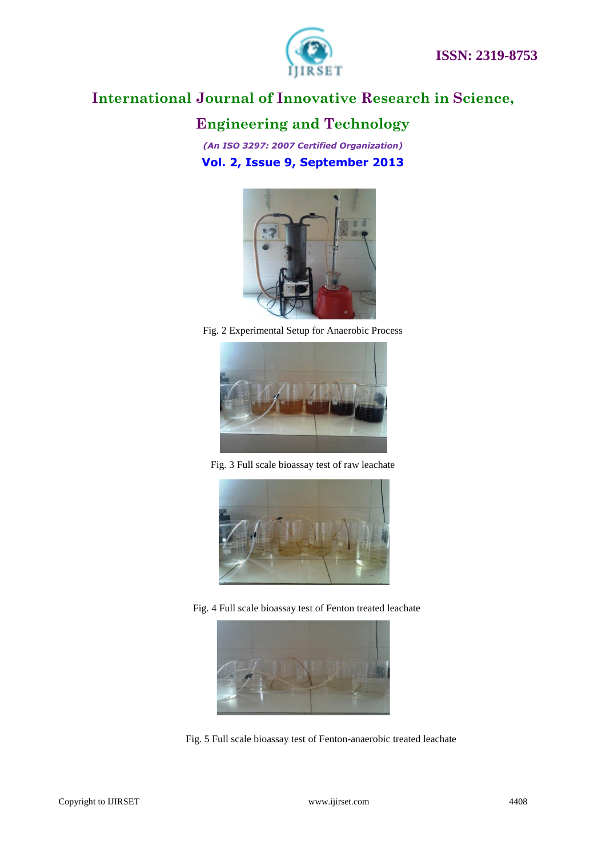

# **Engineering and Technology**

*(An ISO 3297: 2007 Certified Organization)* **Vol. 2, Issue 9, September 2013**



Fig. 2 Experimental Setup for Anaerobic Process



Fig. 3 Full scale bioassay test of raw leachate



Fig. 4 Full scale bioassay test of Fenton treated leachate



Fig. 5 Full scale bioassay test of Fenton-anaerobic treated leachate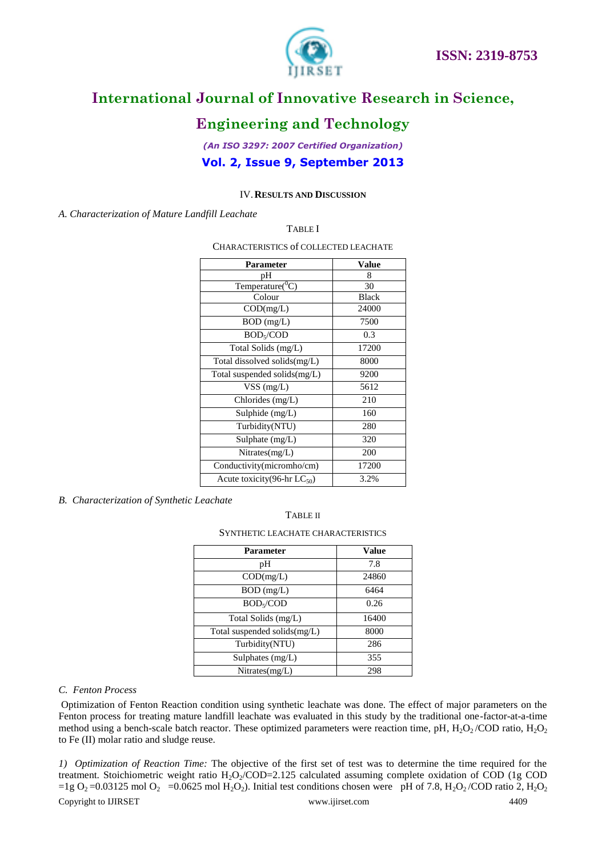



# **Engineering and Technology**

### *(An ISO 3297: 2007 Certified Organization)* **Vol. 2, Issue 9, September 2013**

#### IV.**RESULTS AND DISCUSSION**

*A. Characterization of Mature Landfill Leachate*

TABLE I

CHARACTERISTICS of COLLECTED LEACHATE

| <b>Parameter</b>                        | Value        |
|-----------------------------------------|--------------|
| рH                                      | 8            |
| Temperature( ${}^0C$ )                  | 30           |
| Colour                                  | <b>Black</b> |
| COD(mg/L)                               | 24000        |
| $BOD$ (mg/L)                            | 7500         |
| BOD <sub>5</sub> /COD                   | 0.3          |
| Total Solids (mg/L)                     | 17200        |
| Total dissolved solids(mg/L)            | 8000         |
| Total suspended solids $(mg/L)$         | 9200         |
| $VSS$ (mg/L)                            | 5612         |
| Chlorides $(mg/L)$                      | 210          |
| Sulphide $(mg/L)$                       | 160          |
| Turbidity(NTU)                          | 280          |
| Sulphate (mg/L)                         | 320          |
| Nitrates(mg/L)                          | 200          |
| Conductivity(micromho/cm)               | 17200        |
| Acute toxicity(96-hr LC <sub>50</sub> ) | 3.2%         |

#### *B. Characterization of Synthetic Leachate*

#### TABLE II

#### SYNTHETIC LEACHATE CHARACTERISTICS

| <b>Parameter</b>                | Value |
|---------------------------------|-------|
| pН                              | 7.8   |
| COD(mg/L)                       | 24860 |
| BOD (mg/L)                      | 6464  |
| BOD <sub>5</sub> /COD           | 0.26  |
| Total Solids (mg/L)             | 16400 |
| Total suspended solids $(mg/L)$ | 8000  |
| Turbidity(NTU)                  | 286   |
| Sulphates (mg/L)                | 355   |
| Nitrates(mg/L)                  | 298   |

#### *C. Fenton Process*

Optimization of Fenton Reaction condition using synthetic leachate was done. The effect of major parameters on the Fenton process for treating mature landfill leachate was evaluated in this study by the traditional one-factor-at-a-time method using a bench-scale batch reactor. These optimized parameters were reaction time, pH,  $H_2O_2$ /COD ratio,  $H_2O_2$ to Fe (II) molar ratio and sludge reuse.

Copyright to IJIRSET [www.ijirset.com](http://www.ijirset.com/) 4409 *1) Optimization of Reaction Time:* The objective of the first set of test was to determine the time required for the treatment. Stoichiometric weight ratio  $H_2O_2/COD=2.125$  calculated assuming complete oxidation of COD (1g COD =1g O<sub>2</sub> =0.03125 mol O<sub>2</sub> =0.0625 mol H<sub>2</sub>O<sub>2</sub>). Initial test conditions chosen were pH of 7.8, H<sub>2</sub>O<sub>2</sub>/COD ratio 2, H<sub>2</sub>O<sub>2</sub>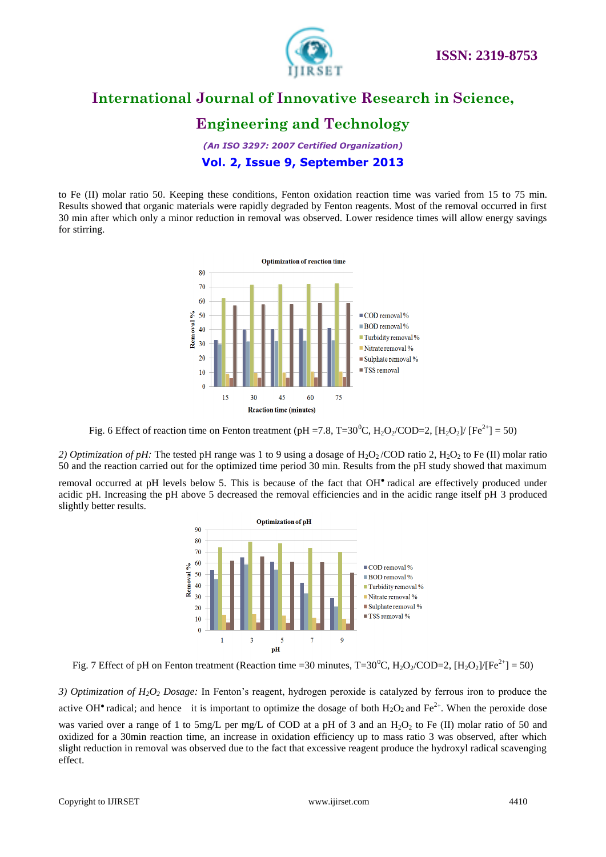

# **Engineering and Technology**

*(An ISO 3297: 2007 Certified Organization)* **Vol. 2, Issue 9, September 2013**

to Fe (II) molar ratio 50. Keeping these conditions, Fenton oxidation reaction time was varied from 15 to 75 min. Results showed that organic materials were rapidly degraded by Fenton reagents. Most of the removal occurred in first 30 min after which only a minor reduction in removal was observed. Lower residence times will allow energy savings for stirring.



Fig. 6 Effect of reaction time on Fenton treatment (pH =7.8, T=30<sup>0</sup>C, H<sub>2</sub>O<sub>2</sub>/COD=2, [H<sub>2</sub>O<sub>2</sub>]/ [Fe<sup>2+</sup>] = 50)

*2) Optimization of pH:* The tested pH range was 1 to 9 using a dosage of H<sub>2</sub>O<sub>2</sub>/COD ratio 2, H<sub>2</sub>O<sub>2</sub> to Fe (II) molar ratio 50 and the reaction carried out for the optimized time period 30 min. Results from the pH study showed that maximum

removal occurred at pH levels below 5. This is because of the fact that OH**●** radical are effectively produced under acidic pH. Increasing the pH above 5 decreased the removal efficiencies and in the acidic range itself pH 3 produced slightly better results.



Fig. 7 Effect of pH on Fenton treatment (Reaction time =30 minutes, T=30<sup>0</sup>C, H<sub>2</sub>O<sub>2</sub>/COD=2, [H<sub>2</sub>O<sub>2</sub>]/[Fe<sup>2+</sup>] = 50)

*3) Optimization of H2O<sup>2</sup> Dosage:* In Fenton's reagent, hydrogen peroxide is catalyzed by ferrous iron to produce the active OH<sup>•</sup> radical; and hence it is important to optimize the dosage of both  $H_2O_2$  and  $Fe^{2+}$ . When the peroxide dose was varied over a range of 1 to 5mg/L per mg/L of COD at a pH of 3 and an  $H_2O_2$  to Fe (II) molar ratio of 50 and oxidized for a 30min reaction time, an increase in oxidation efficiency up to mass ratio 3 was observed, after which slight reduction in removal was observed due to the fact that excessive reagent produce the hydroxyl radical scavenging effect.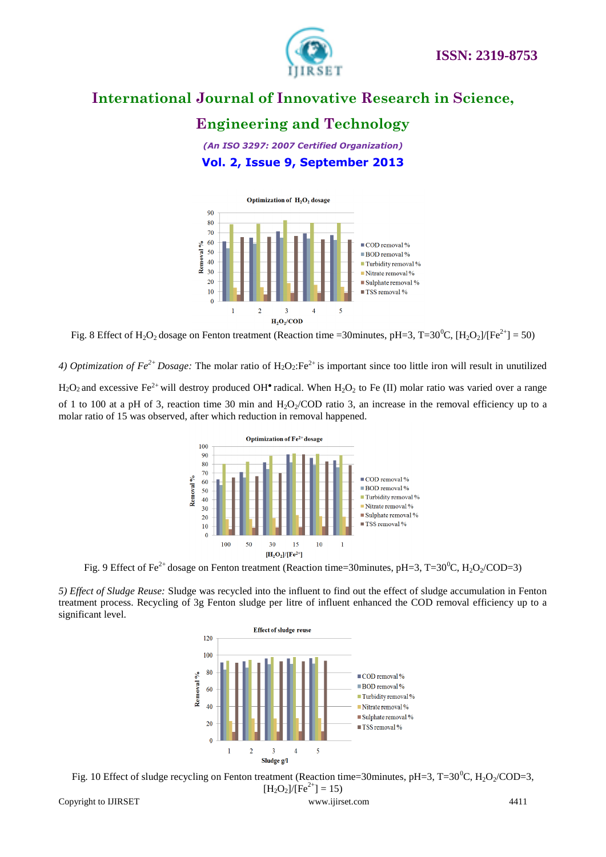

# **Engineering and Technology**

*(An ISO 3297: 2007 Certified Organization)* **Vol. 2, Issue 9, September 2013**



Fig. 8 Effect of H<sub>2</sub>O<sub>2</sub> dosage on Fenton treatment (Reaction time =30minutes, pH=3, T=30<sup>0</sup>C, [H<sub>2</sub>O<sub>2</sub>]/[Fe<sup>2+</sup>] = 50)

*4) Optimization of Fe2+ Dosage:* The molar ratio of H2O2:Fe2+ is important since too little iron will result in unutilized  $H_2O_2$  and excessive Fe<sup>2+</sup> will destroy produced OH<sup>•</sup> radical. When  $H_2O_2$  to Fe (II) molar ratio was varied over a range

of 1 to 100 at a pH of 3, reaction time 30 min and  $H_2O_2/CD$  ratio 3, an increase in the removal efficiency up to a molar ratio of 15 was observed, after which reduction in removal happened.



Fig. 9 Effect of Fe<sup>2+</sup> dosage on Fenton treatment (Reaction time=30minutes, pH=3, T=30<sup>0</sup>C, H<sub>2</sub>O<sub>2</sub>/COD=3)

*5) Effect of Sludge Reuse:* Sludge was recycled into the influent to find out the effect of sludge accumulation in Fenton treatment process. Recycling of 3g Fenton sludge per litre of influent enhanced the COD removal efficiency up to a significant level.



Fig. 10 Effect of sludge recycling on Fenton treatment (Reaction time=30minutes, pH=3, T=30<sup>0</sup>C, H<sub>2</sub>O<sub>2</sub>/COD=3,

$$
[H_2O_2]/[Fe^{2+}] = 15
$$
  
www.ijirset.com 4411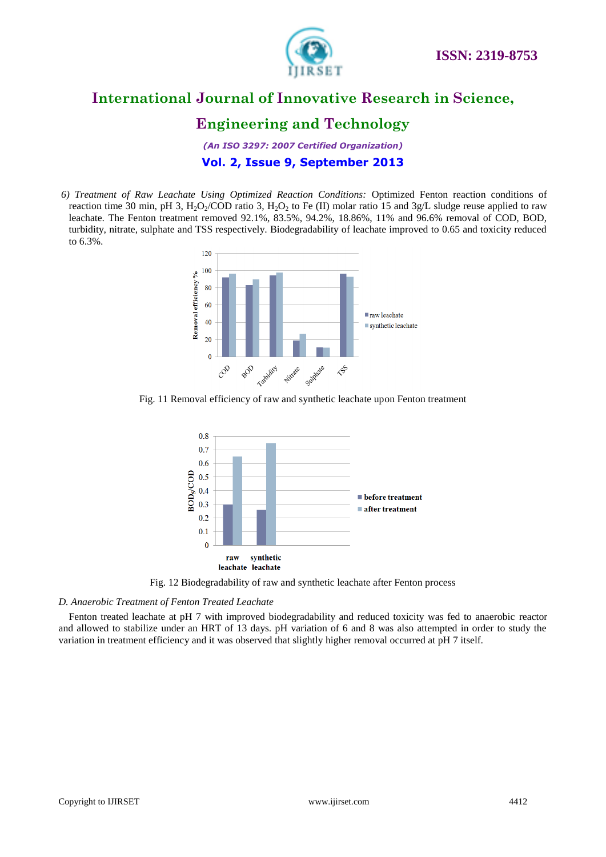

# **Engineering and Technology**

*(An ISO 3297: 2007 Certified Organization)* **Vol. 2, Issue 9, September 2013**

*6) Treatment of Raw Leachate Using Optimized Reaction Conditions:* Optimized Fenton reaction conditions of reaction time 30 min, pH 3,  $H_2O_2/COD$  ratio 3,  $H_2O_2$  to Fe (II) molar ratio 15 and 3g/L sludge reuse applied to raw leachate. The Fenton treatment removed 92.1%, 83.5%, 94.2%, 18.86%, 11% and 96.6% removal of COD, BOD, turbidity, nitrate, sulphate and TSS respectively. Biodegradability of leachate improved to 0.65 and toxicity reduced to 6.3%.



Fig. 11 Removal efficiency of raw and synthetic leachate upon Fenton treatment



Fig. 12 Biodegradability of raw and synthetic leachate after Fenton process

#### *D. Anaerobic Treatment of Fenton Treated Leachate*

Fenton treated leachate at pH 7 with improved biodegradability and reduced toxicity was fed to anaerobic reactor and allowed to stabilize under an HRT of 13 days. pH variation of 6 and 8 was also attempted in order to study the variation in treatment efficiency and it was observed that slightly higher removal occurred at pH 7 itself.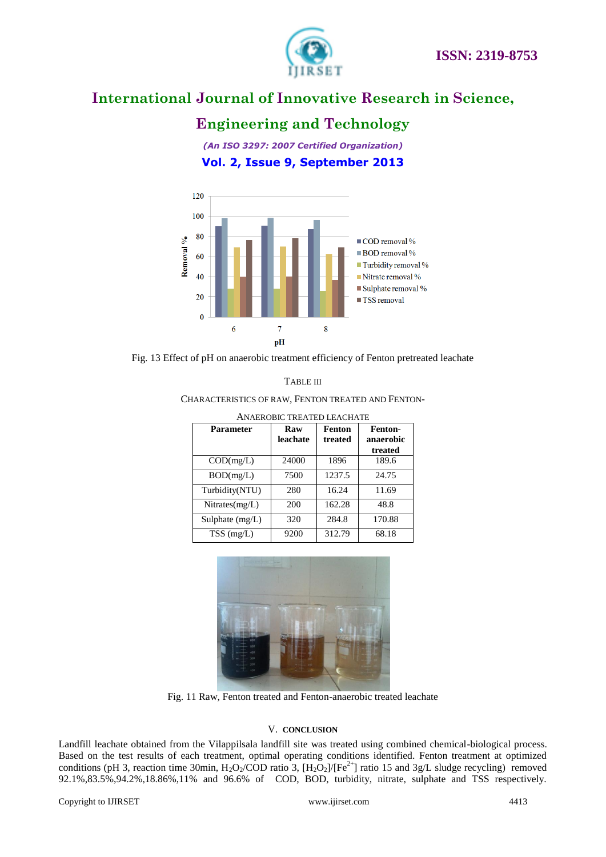

# **Engineering and Technology**

*(An ISO 3297: 2007 Certified Organization)* **Vol. 2, Issue 9, September 2013**



Fig. 13 Effect of pH on anaerobic treatment efficiency of Fenton pretreated leachate

CHARACTERISTICS OF RAW, FENTON TREATED AND FENTON-

| ANAEROBIC TREATED LEACHATE |          |         |           |
|----------------------------|----------|---------|-----------|
| Parameter                  | Raw      | Fenton  | Fenton-   |
|                            | leachate | treated | anaerobic |
|                            |          |         | treated   |
| COD(mg/L)                  | 24000    | 1896    | 189.6     |
| BOD(mg/L)                  | 7500     | 1237.5  | 24.75     |
| Turbidity(NTU)             | 280      | 16.24   | 11.69     |
| Nitrates(mg/L)             | 200      | 162.28  | 48.8      |
| Sulphate $(mg/L)$          | 320      | 284.8   | 170.88    |
| $TSS$ (mg/L)               | 9200     | 312.79  | 68.18     |



Fig. 11 Raw, Fenton treated and Fenton-anaerobic treated leachate

#### V. **CONCLUSION**

Landfill leachate obtained from the Vilappilsala landfill site was treated using combined chemical-biological process. Based on the test results of each treatment, optimal operating conditions identified. Fenton treatment at optimized conditions (pH 3, reaction time 30min, H<sub>2</sub>O<sub>2</sub>/COD ratio 3,  $[H_2O_2]/[Fe^{2+}]$  ratio 15 and 3g/L sludge recycling) removed 92.1%,83.5%,94.2%,18.86%,11% and 96.6% of COD, BOD, turbidity, nitrate, sulphate and TSS respectively.